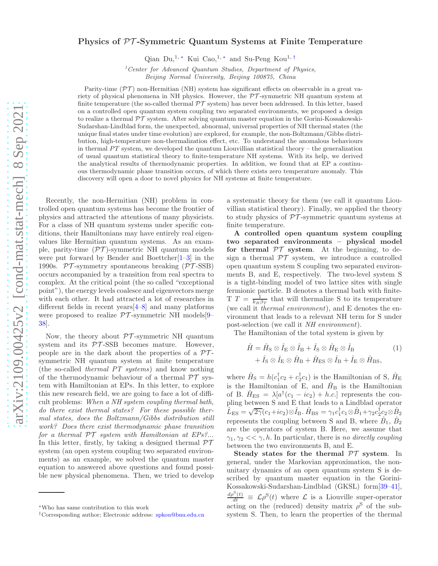## Physics of PT -Symmetric Quantum Systems at Finite Temperature

Qian Du,<sup>1,\*</sup> Kui Cao,<sup>1,\*</sup> and Su-Peng Kou<sup>1,†</sup>

 $1$ <sup>1</sup> Center for Advanced Quantum Studies, Department of Physics, Beijing Normal University, Beijing 100875, China

Parity-time  $(\mathcal{PT})$  non-Hermitian (NH) system has significant effects on observable in a great variety of physical phenomena in NH physics. However, the PT -symmetric NH quantum system at finite temperature (the so-called thermal  $\mathcal{PT}$  system) has never been addressed. In this letter, based on a controlled open quantum system coupling two separated environments, we proposed a design to realize a thermal  $\mathcal{PT}$  system. After solving quantum master equation in the Gorini-Kossakowski-Sudarshan-Lindblad form, the unexpected, abnormal, universal properties of NH thermal states (the unique final states under time evolution) are explored, for example, the non-Boltzmann/Gibbs distribution, high-temperature non-thermalization effect, etc. To understand the anomalous behaviours in thermal  $PT$  system, we developed the quantum Liouvillian statistical theory – the generalization of usual quantum statistical theory to finite-temperature NH systems. With its help, we derived the analytical results of thermodynamic properties. In addition, we found that at EP a continuous thermodynamic phase transition occurs, of which there exists zero temperature anomaly. This discovery will open a door to novel physics for NH systems at finite temperature.

Recently, the non-Hermitian (NH) problem in controlled open quantum systems has become the frontier of physics and attracted the attentions of many physicists. For a class of NH quantum systems under specific conditions, their Hamiltonians may have entirely real eigenvalues like Hermitian quantum systems. As an example, parity-time  $(\mathcal{PT})$ -symmetric NH quantum models were put forward by Bender and Boettcher[1–3] in the 1990s.  $PT$ -symmetry spontaneous breaking ( $PT$ -SSB) occurs accompanied by a transition from real spectra to complex. At the critical point (the so called "exceptional point"), the energy levels coalesce and eigenvectors merge with each other. It had attracted a lot of researches in different fields in recent years[4–8] and many platforms were proposed to realize  $\mathcal{PT}$ -symmetric NH models[9– 38].

Now, the theory about  $\mathcal{PT}$ -symmetric NH quantum system and its  $PT$ -SSB becomes mature. However, people are in the dark about the properties of a  $\mathcal{PT}$ symmetric NH quantum system at finite temperature (the so-called thermal PT systems) and know nothing of the thermodynamic behaviour of a thermal  $\mathcal{PT}$  system with Hamiltonian at EPs. In this letter, to explore this new research field, we are going to face a lot of difficult problems: When a NH system coupling thermal bath, do there exist thermal states? For these possible thermal states, does the Boltzmann/Gibbs distribution still work? Does there exist thermodynamic phase transition for a thermal  $\mathcal{PT}$  system with Hamiltonian at  $EPs?...$ In this letter, firstly, by taking a designed thermal  $\mathcal{PT}$ system (an open system coupling two separated environments) as an example, we solved the quantum master equation to answered above questions and found possible new physical phenomena. Then, we tried to develop

a systematic theory for them (we call it quantum Liouvillian statistical theory). Finally, we applied the theory to study physics of  $PT$ -symmetric quantum systems at finite temperature.

A controlled open quantum system coupling two separated environments – physical model for thermal  $\mathcal{PT}$  system. At the beginning, to design a thermal  $\mathcal{PT}$  system, we introduce a controlled open quantum system S coupling two separated environments B, and E, respectively. The two-level system S is a tight-binding model of two lattice sites with single fermionic particle. B denotes a thermal bath with finite-T  $T = \frac{1}{k_B \beta_T}$  that will thermalize S to its temperature (we call it thermal environment), and E denotes the environment that leads to a relevant NH term for S under post-selection (we call it NH environment).

The Hamiltonian of the total system is given by

$$
\hat{H} = \hat{H}_{\text{S}} \otimes \hat{I}_{\text{E}} \otimes \hat{I}_{\text{B}} + \hat{I}_{\text{S}} \otimes \hat{H}_{\text{E}} \otimes \hat{I}_{\text{B}} \n+ \hat{I}_{\text{S}} \otimes \hat{I}_{\text{E}} \otimes \hat{H}_{\text{B}} + \hat{H}_{\text{ES}} \otimes \hat{I}_{\text{B}} + \hat{I}_{\text{E}} \otimes \hat{H}_{\text{BS}},
$$
\n(1)

where  $\hat{H}_{\rm S} = h(c_1^{\dagger}c_2 + c_2^{\dagger}c_1)$  is the Hamiltonian of S,  $\hat{H}_{\rm E}$ is the Hamiltonian of E, and  $\hat{H}_{\text{B}}$  is the Hamiltonian of B.  $\hat{H}_{ES} = \lambda [a^{\dagger} (c_1 - ic_2) + h.c.]$  represents the coupling between S and E that leads to a Lindblad operator  $\hat{L}_{\text{ES}} = \sqrt{2\gamma} (c_1 + ic_2) \otimes \hat{I}_{\text{B}}$ .  $\hat{H}_{\text{BS}} = \gamma_1 c_1^{\dagger} c_1 \otimes \hat{B}_1 + \gamma_2 c_2^{\dagger} c_2 \otimes \hat{B}_2$ represents the coupling between S and B, where  $\hat{B}_1$ ,  $\hat{B}_2$ are the operators of system B. Here, we assume that  $\gamma_1, \gamma_2 \ll \gamma$ , h. In particular, there is no directly coupling between the two environments B, and E.

Steady states for the thermal  $\mathcal{PT}$  system. In general, under the Markovian approximation, the nonunitary dynamics of an open quantum system S is described by quantum master equation in the Gorini-Kossakowski-Sudarshan-Lindblad (GKSL) form[39–41],  $\frac{d\rho^{S}(t)}{dt} \equiv \mathcal{L}\rho^{S}(t)$  where  $\mathcal{L}$  is a Liouville super-operator acting on the (reduced) density matrix  $\rho^{\rm S}$  of the subsystem S. Then, to learn the properties of the thermal

<sup>∗</sup>Who has same contribution to this work

<sup>†</sup>Corresponding author; Electronic address: spkou@bnu.edu.cn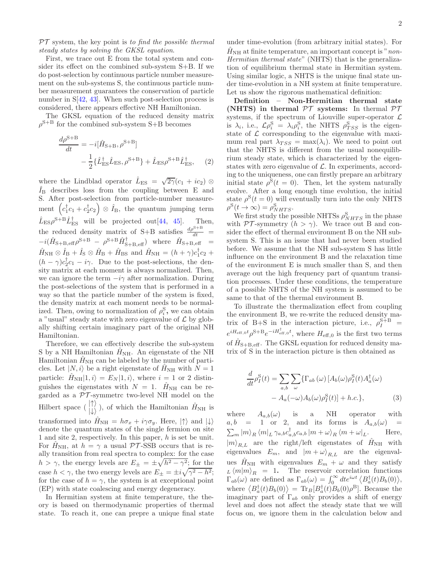$PT$  system, the key point is to find the possible thermal steady states by solving the GKSL equation.

First, we trace out E from the total system and consider its effect on the combined sub-system S+B. If we do post-selection by continuous particle number measurement on the sub-systems S, the continuous particle number measurement guarantees the conservation of particle number in  $S(42, 43]$ . When such post-selection process is considered, there appears effective NH Hamiltonian.

The GKSL equation of the reduced density matrix  $\rho^{\text{S}+\text{B}}$  for the combined sub-system S+B becomes

$$
\frac{d\rho^{S+B}}{dt} = -i[\hat{H}_{S+B}, \rho^{S+B}] \n- \frac{1}{2} \{\hat{L}_{ES}^{\dagger} \hat{L}_{ES}, \rho^{S+B}\} + \hat{L}_{ES} \rho^{S+B} \hat{L}_{ES}^{\dagger},
$$
\n(2)

where the Lindblad operator  $\hat{L}_{ES} = \sqrt{2\gamma}(c_1 + ic_2) \otimes$  $I_{\rm B}$  describes loss from the coupling between E and S. After post-selection from particle-number measurement  $(c_1^{\dagger}c_1+c_2^{\dagger}c_2) \otimes \hat{I}_{\text{B}}$ , the quantum jumping term  $\hat{L}_{ES}\rho^{S+B}\hat{L}_{ES}^{\dagger}$  will be projected out[44, 45]. Then, the reduced density matrix of S+B satisfies  $\frac{d\rho^{S+B}}{dt}$  =  $-i(\hat{H}_{\textrm{S}+\textrm{B},\textrm{eff}}\rho^{\textrm{S}+\textrm{B}}~-~\rho^{\textrm{S}+\textrm{B}}\hat{H}_{\textrm{S}+\textrm{B},\textrm{eff}}^{\dagger})~~$  where  $~\hat{H}_{\textrm{S}+\textrm{B},\textrm{eff}}~=~$  $\hat{H}_{\text{NH}} \otimes \hat{I}_{\text{B}} + \hat{I}_{\text{S}} \otimes \hat{H}_{\text{B}} + \hat{H}_{\text{BS}}$  and  $\hat{H}_{\text{NH}} = (h + \gamma)c_1^{\dagger}c_2 +$  $(h - \gamma)c_2^{\dagger}c_1 - i\gamma$ . Due to the post-selections, the density matrix at each moment is always normalized. Then, we can ignore the term  $-i\gamma$  after normalization. During the post-selections of the system that is performed in a way so that the particle number of the system is fixed, the density matrix at each moment needs to be normalized. Then, owing to normalization of  $\rho_i^{\rm S}$ , we can obtain a "usual" steady state with zero eigenvalue of  $\mathcal L$  by globally shifting certain imaginary part of the original NH Hamiltonian.

Therefore, we can effectively describe the sub-system S by a NH Hamiltonian  $H_{\text{NH}}$ . An eigenstate of the NH Hamiltonian  $H<sub>NH</sub>$  can be labeled by the number of particles. Let  $|N, i\rangle$  be a right eigenstate of  $H<sub>NH</sub>$  with  $N = 1$ particle:  $\hat{H}_{NH}|1,i\rangle = E_N|1,i\rangle$ , where  $i = 1$  or 2 distinguishes the eigenstates with  $N = 1$ .  $\hat{H}_{\text{NH}}$  can be regarded as a  $\mathcal{PT}$ -symmetrc two-level NH model on the Hilbert space  $\begin{pmatrix} |1\rangle \\ |1\rangle \end{pmatrix}$ , of which the Hamiltonian  $\hat{H}_{\text{NH}}$  is transformed into  $\hat{H}_{\text{NH}} = h\sigma_x + i\gamma \sigma_y$ . Here,  $|\uparrow\rangle$  and  $|\downarrow\rangle$ denote the quantum states of the single fermion on site 1 and site 2, respectively. In this paper, h is set be unit. For  $H_{\text{NH}}$ , at  $h = \gamma$  a usual PT-SSB occurs that is really transition from real spectra to complex: for the case  $h > \gamma$ , the energy levels are  $E_{\pm} = \pm \sqrt{h^2 - \gamma^2}$ ; for the case  $h < \gamma$ , the two energy levels are  $E_{\pm} = \pm i \sqrt{\gamma^2 - h^2}$ ; for the case of  $h = \gamma$ , the system is at exceptional point (EP) with state coalescing and energy degeneracy.

In Hermitian system at finite temperature, the theory is based on thermodynamic properties of thermal state. To reach it, one can prepre a unique final state

under time-evolution (from arbitrary initial states). For  $H_{\rm NH}$  at finite temperature, an important concept is "non-Hermitian thermal state" (NHTS) that is the generalization of equilibrium thermal state in Hermitian system. Using similar logic, a NHTS is the unique final state under time-evolution in a NH system at finite temperature. Let us show the rigorous mathematical definition:

Definition – Non-Hermitian thermal state (NHTS) in thermal  $\mathcal{PT}$  systems: In thermal  $\mathcal{PT}$ systems, if the spectrum of Liouville super-operator  $\mathcal L$ is  $\lambda_i$ , i.e.,  $\mathcal{L}\rho_i^{\rm S} = \lambda_i \rho_i^{\rm S}$ , the NHTS  $\rho_{TSS}^{\rm S}$  is the eigenstate of  $\mathcal L$  corresponding to the eigenvalue with maximum real part  $\lambda_{TSS} = \max(\lambda_i)$ . We need to point out that the NHTS is different from the usual nonequilibrium steady state, which is characterized by the eigenstates with zero eigenvalue of  $\mathcal{L}$ . In experiments, according to the uniqueness, one can firstly prepare an arbitrary initial state  $\rho^{S}(t=0)$ . Then, let the system naturally evolve. After a long enough time evolution, the initial state  $\rho^{S}(t=0)$  will eventually turn into the only NHTS  $\rho^{\rm S}(t\to\infty)=\rho_{NHTS}^{\rm S}.$ 

We first study the possible NHTSs  $\rho_{NHTS}^{S}$  in the phase with  $\mathcal{PT}$ -symmetry  $(h > \gamma)$ . We trace out B and consider the effect of thermal environment B on the NH subsystem S. This is an issue that had never been studied before. We assume that the NH sub-system S has little influence on the environment B and the relaxation time of the environment E is much smaller than S, and then average out the high frequency part of quantum transition processes. Under these conditions, the temperature of a possible NHTS of the NH system is assumed to be same to that of the thermal environment B.

To illustrate the thermalization effect from coupling the environment B, we re-write the reduced density matrix of B+S in the interaction picture, i.e.,  $\rho_I^{\text{S}+\text{B}}$  =  $e^{iH_{\text{eff},0}t} \rho^{\text{S}+\text{B}} e^{-iH_{\text{eff},0}^{\dagger}t}$ , where  $H_{\text{eff},0}$  is the first two terms of  $\hat{H}_{\text{S+B,eff}}$ . The GKSL equation for reduced density matrix of S in the interaction picture is then obtained as

$$
\frac{d}{dt}\rho_I^{\rm S}(t) = \sum_{a,b} \sum_{\omega} \{ \Gamma_{ab}(\omega) \left[ A_b(\omega) \rho_I^{\rm S}(t) A_a^{\dagger}(\omega) - A_a(-\omega) A_b(\omega) \rho_I^{\rm S}(t) \right] + h.c. \},
$$
\n(3)

where  $A_{a,b}(\omega)$  is a NH operator with  $a, b = 1$  or 2, and its forms is  $A_{a,b}(\omega) =$  $\sum_{m} |m\rangle_R \bra{m}_L \gamma_{a,b} c_{a,b}^\dagger c_{a,b} \ket{m+\omega}_R \bra{m+\omega}_L$ . Here,  $|m\rangle_{R,L}$  are the right/left eigenstates of  $\hat{H}_{\text{NH}}$  with eigenvalues  $E_m$ , and  $|m + \omega\rangle_{BL}$  are the eigenvalues  $H_{\text{NH}}$  with eigenvalues  $E_m + \omega$  and they satisfy  $L \langle m|m\rangle_R = 1$ . The reservoir correlation functions  $\Gamma_{ab}(\omega)$  are defined as  $\Gamma_{ab}(\omega) = \int_0^\infty dt e^{i\omega t} \langle B_a^{\dagger}(t)B_b(0) \rangle$ , where  $\langle B_a^{\dagger}(t)B_b(0)\rangle = \text{Tr}_B[B_a^{\dagger}(t)B_b(0)\rho^B]$ . Because the imaginary part of  $\Gamma_{ab}$  only provides a shift of energy level and does not affect the steady state that we will focus on, we ignore them in the calculation below and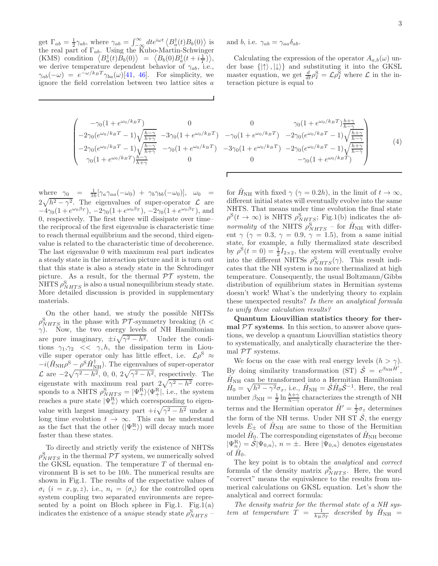get  $\Gamma_{ab} = \frac{1}{2} \gamma_{ab}$ , where  $\gamma_{ab} = \int_{-\infty}^{\infty} dt e^{i\omega t} \langle B_a^{\dagger}(t) B_b(0) \rangle$  is the real part of  $\Gamma_{ab}$ . Using the Kubo-Martin-Schwinger (KMS) condition  $\langle B_a^{\dagger}(t)B_b(0) \rangle = \langle B_b(0)B_a^{\dagger}(t + i\frac{1}{T}) \rangle$ , we derive temperature dependent behavior of  $\gamma_{ab}$ , i.e.,  $\gamma_{ab}(-\omega) = e^{-\omega/k_BT}\gamma_{ba}(\omega)$ [41, 46]. For simplicity, we ignore the field correlation between two lattice sites a

$$
\begin{pmatrix} -\gamma_0(1+e^{\omega_0/k_BT}) & 0 \\ -2\gamma_0(e^{\omega_0/k_BT}-1)\sqrt{\frac{h-\gamma}{h+\gamma}} & -3\gamma_0(1+e^{\omega_0/k_BT} \\ -2\gamma_0(e^{\omega_0/k_BT}-1)\sqrt{\frac{h-\gamma}{h+\gamma}} & -\gamma_0(1+e^{\omega_0/k_BT}) \\ \gamma_0(1+e^{\omega_0/k_BT})\frac{h-\gamma}{h+\gamma} & 0 \end{pmatrix}
$$

where  $\gamma_0 = \frac{1}{16} [\gamma_a \gamma_{aa}(-\omega_0) + \gamma_b \gamma_{bb}(-\omega_0)], \omega_0 =$  $2\sqrt{h^2-\gamma^2}$ . The eigenvalues of super-operator  $\mathcal{L}$  are  $-4\gamma_0(1+e^{\omega_0\beta_T}), -2\gamma_0(1+e^{\omega_0\beta_T}), -2\gamma_0(1+e^{\omega_0\beta_T}),$  and 0, respectively. The first three will dissipate over time– the reciprocal of the first eigenvalue is characteristic time to reach thermal equilibrium and the second, third eigenvalue is related to the characteristic time of decoherence. The last eigenvalue 0 with maximum real part indicates a steady state in the interaction picture and it is turn out that this state is also a steady state in the Schrodinger picture. As a result, for the thermal  $\mathcal{PT}$  system, the NHTS  $\rho_{NHTS}^{\rm S}$  is also a usual nonequilibrium steady state. More detailed discussion is provided in supplementary materials.

On the other hand, we study the possible NHTSs  $\rho_{NHTS}^{S}$  in the phase with  $\mathcal{PT}$ -symmetry breaking  $(h <$  $\gamma$ ). Now, the two energy levels of NH Hamiltonian are pure imaginary,  $\pm i\sqrt{\gamma^2 - h^2}$ . Under the conditions  $\gamma_1, \gamma_2 \ll \gamma, h$ , the dissipation term in Liouville super operator only has little effect, i.e.  $\mathcal{L}\rho^{S} \approx$  $-i(\hat{H}_{\rm NH}\rho^{\rm S}-\rho^{\rm S}\hat{H}_{\rm NH}^\dagger)$ . The eigenvalues of super-operator  $\mathcal{L}$  are  $-2\sqrt{\gamma^2 - h^2}$ , 0, 0,  $2\sqrt{\gamma^2 - h^2}$ , respectively. The eigenstate with maximum real part  $2\sqrt{\gamma^2 - h^2}$  corresponds to a NHTS  $\rho_{NHTS}^S = |\Psi_{+}^R\rangle\langle\Psi_{+}^R|$ , i.e., the system reaches a pure state  $|\Psi_{+}^{\text{R}}\rangle$  which corresponding to eigenvalue with largest imaginary part  $+i\sqrt{\gamma^2 - h^2}$  under a long time evolution  $t \to \infty$ . This can be understand as the fact that the other  $(|\Psi_{-}^{\text{R}}\rangle)$  will decay much more faster than these states.

To directly and strictly verify the existence of NHTSs  $\rho_{NHTS}^{\rm S}$  in the thermal  $\mathcal{PT}$  system, we numerically solved the GKSL equation. The temperature  $T$  of thermal environment B is set to be 10h. The numerical results are shown in Fig.1. The results of the expectative values of  $\sigma_i$   $(i = x, y, z)$ , i.e.,  $n_i = \langle \sigma_i \rangle$  for the controlled open system coupling two separated environments are represented by a point on Bloch sphere in Fig.1. Fig.1(a) indicates the existence of a *unique* steady state  $\rho_{NHTS}^{S}$  – and b, i.e.  $\gamma_{ab} = \gamma_{aa} \delta_{ab}$ .

Г

Calculating the expression of the operator  $A_{a,b}(\omega)$  under base  $\{|\uparrow\rangle, |\downarrow\rangle\}$  and substituting it into the GKSL master equation, we get  $\frac{d}{dt} \rho_I^{\rm S} = \mathcal{L} \rho_I^{\rm S}$  where  $\mathcal L$  in the interaction picture is equal to

$$
\begin{array}{ccc}\n0 & 0 & \gamma_0 (1 + e^{\omega_0/k_B T}) \frac{h + \gamma}{h - \gamma} \\
\frac{h - \gamma}{h + \gamma} & -3\gamma_0 (1 + e^{\omega_0/k_B T}) & -\gamma_0 (1 + e^{\omega_0/k_B T}) & -2\gamma_0 (e^{\omega_0/k_B T} - 1) \sqrt{\frac{h + \gamma}{h - \gamma}} \\
\frac{h - \gamma}{h + \gamma} & -\gamma_0 (1 + e^{\omega_0/k_B T}) & -3\gamma_0 (1 + e^{\omega_0/k_B T}) & -2\gamma_0 (e^{\omega_0/k_B T} - 1) \sqrt{\frac{h + \gamma}{h - \gamma}} \\
0 & 0 & -\gamma_0 (1 + e^{\omega_0/k_B T})\n\end{array} (4)
$$

for  $H_{\text{NH}}$  with fixed  $\gamma$  ( $\gamma = 0.2h$ ), in the limit of  $t \to \infty$ , different initial states will eventually evolve into the same NHTS. That means under time evolution the final state  $\rho^{\rm S}(t \to \infty)$  is NHTS  $\rho_{NHTS}^{\rm S}$ ; Fig.1(b) indicates the abnormality of the NHTS  $\rho_{NHTS}^{\rm S}$  – for  $\hat{H}_{\rm NH}$  with different  $\gamma$  ( $\gamma = 0.3$ ,  $\gamma = 0.9$ ,  $\gamma = 1.5$ ), from a same initial state, for example, a fully thermalized state described by  $\rho^{S}(t=0) = \frac{1}{2}I_{2\times 2}$ , the system will eventually evolve into the different NHTSs  $\rho_{NHTS}^{S}(\gamma)$ . This result indicates that the NH system is no more thermalized at high temperature. Consequently, the usual Boltzmann/Gibbs distribution of equilibrium states in Hermitian systems doesn't work! What's the underlying theory to explain these unexpected results? Is there an analytical formula to unify these calculation results?

Quantum Liouvillian statistics theory for thermal  $\mathcal{PT}$  systems. In this section, to answer above questions, we develop a quantum Liouvillian statistics theory to systematically, and analytically characterize the thermal  $\mathcal{PT}$  systems.

We focus on the case with real energy levels  $(h > \gamma)$ . By doing similarity transformation (ST)  $\hat{S} = e^{\beta_{\text{NH}} \hat{H}'}$ ,  $\hat{H}_{\mathrm{NH}}$  can be transformed into a Hermitian Hamiltonian  $\hat{H}_0 = \sqrt{h^2 - \gamma^2} \sigma_x$ , i.e.,  $\hat{H}_{\text{NH}} = \hat{\mathcal{S}} \hat{H}_0 \hat{\mathcal{S}}^{-1}$ . Here, the real number  $\beta_{\text{NH}} = \frac{1}{2} \ln \frac{h + \gamma}{h - \gamma}$  characterizes the strength of NH terms and the Hermitian operator  $\hat{H}' = \frac{1}{2}\sigma_z$  determines the form of the NH terms. Under NH ST  $\hat{S}$ , the energy levels  $E_{\pm}$  of  $H_{\text{NH}}$  are same to those of the Hermitian model  $\hat{H}_{\text{Q}}$ . The corresponding eigenstates of  $\hat{H}_{\text{NH}}$  become  $|\Psi_{n}\rangle = \hat{\mathcal{S}}|\Psi_{0,n}\rangle, n = \pm$ . Here  $|\Psi_{0,n}\rangle$  denotes eigenstates of  $\hat{H}_0$ .

The key point is to obtain the *analytical* and *correct* formula of the density matrix  $\rho_{NHTS}^{S}$ . Here, the word "correct" means the equivalence to the results from numerical calculations on GKSL equation. Let's show the analytical and correct formula:

The density matrix for the thermal state of a NH system at temperature  $\dot{T} = \frac{1}{k_B \beta_T}$  described by  $\hat{H}_{\text{NH}} =$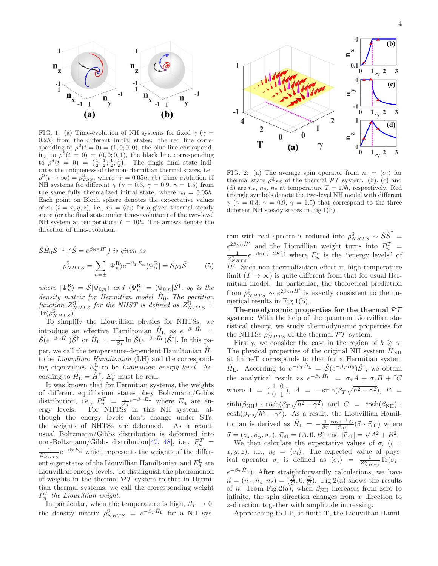

FIG. 1: (a) Time-evolution of NH systems for fixed  $\gamma$  ( $\gamma$  =  $(0.2h)$  from the different initial states: the red line corresponding to  $\rho^{S}(t=0) = (1,0,0,0)$ , the blue line corresponding to  $\rho^{\mathcal{S}}(t=0) = (0,0,0,1)$ , the black line corresponding to  $\rho^{S}(t = 0) = \left(\frac{1}{2}, \frac{1}{2}, \frac{1}{2}, \frac{1}{2}\right)$ . The single final state indicates the uniqueness of the non-Hermitian thermal states, i.e.,  $\rho^{S}(t \to \infty) = \rho_{TSS}^{S}$ , where  $\gamma_0 = 0.05h$ ; (b) Time-evolution of NH systems for different  $\gamma$  ( $\gamma = 0.3$ ,  $\gamma = 0.9$ ,  $\gamma = 1.5$ ) from the same fully thermalized initial state, where  $\gamma_0 = 0.05h$ . Each point on Bloch sphere denotes the expectative values of  $\sigma_i$   $(i = x, y, z)$ , i.e.,  $n_i = \langle \sigma_i \rangle$  for a given thermal steady state (or the final state under time-evolution) of the two-level NH system at temperature  $T = 10h$ . The arrows denote the direction of time-evolution.

$$
\hat{S}\hat{H}_0\hat{S}^{-1} (\hat{S} = e^{\beta_{\rm NH}\hat{H}'}) \text{ is given as}
$$

$$
\rho_{NHTS}^{\rm S} = \sum_{n=\pm} |\Psi_n^{\rm R}\rangle e^{-\beta_T E_n} \langle \Psi_n^{\rm R}| = \hat{S}\rho_0 \hat{S}^{\dagger} \qquad (5)
$$

where  $|\Psi_n^{\text{R}}\rangle = \hat{\mathcal{S}}|\Psi_{0,n}\rangle$  and  $\langle \Psi_n^{\text{R}}| = \langle \Psi_{0,n}|\hat{\mathcal{S}}^{\dagger}$ .  $\rho_0$  is the density matrix for Hermitian model  $\hat{H}_0$ . The partition function  $Z_{NHTS}^{\rm S}$  for the NHST is defined as  $Z_{NHTS}^{\rm S}$  =  $\text{Tr}(\rho_{NHTS}^{\text{S}}).$ 

To simplify the Liouvillian physics for NHTSs, we introduce an effective Hamiltonian  $\hat{H}_{\text{L}}$  as  $e^{-\beta_T \hat{H}_{\text{L}}}$  =  $\hat{\mathcal{S}}(e^{-\beta_T \hat{H}_0})\hat{\mathcal{S}}^{\dagger}$  or  $\hat{H}_{\text{L}} = -\frac{1}{\beta_T} \ln[\hat{\mathcal{S}}(e^{-\beta_T \hat{H}_0})\hat{\mathcal{S}}^{\dagger}]$ . In this paper, we call the temperature-dependent Hamiltonian  $\hat{H}_{\rm L}$ to be Liouvillian Hamiltonian (LH) and the corresponding eigenvalues  $E_n^{\text{L}}$  to be *Liouvillian energy level.* According to  $\hat{H}_{\text{L}} = \hat{H}_{\text{L}}^{\dagger}, E_{n}^{\text{L}}$  must be real.

It was known that for Hermitian systems, the weights of different equilibrium states obey Boltzmann/Gibbs distribution, i.e.,  $P_n^T = \frac{1}{Z_0} e^{-\beta T E_n}$  where  $E_n$  are energy levels. For NHTSs in this NH system, although the energy levels don't change under STs, the weights of NHTSs are deformed. As a result, usual Boltzmann/Gibbs distribution is deformed into non-Boltzmann/Gibbs distribution [47, 48], i.e.,  $P_n^T$  =  $\frac{1}{Z_{NHTS}^S}e^{-\beta_T E_n^{\rm L}}$  which represents the weights of the different eigenstates of the Liouvillian Hamiltonian and  $E_n^{\rm L}$  are Liouvillian energy levels. To distinguish the phenomenon of weights in the thermal  $\mathcal{PT}$  system to that in Hermitian thermal systems, we call the corresponding weight  $P_n^T$  the Liouvillian weight.

In particular, when the temperature is high,  $\beta_T \to 0$ , the density matrix  $\rho_{NHTS}^S = e^{-\beta_T \hat{H}_L}$  for a NH sys-



FIG. 2: (a) The average spin operator from  $n_i = \langle \sigma_i \rangle$  for thermal state  $\rho_{TSS}^{\rm S}$  of the thermal  $\mathcal{PT}$  system. (b), (c) and (d) are  $n_x$ ,  $n_y$ ,  $n_z$  at temperature  $T = 10h$ , respectively. Red triangle symbols denote the two-level NH model with different  $\gamma$  ( $\gamma = 0.3$ ,  $\gamma = 0.9$ ,  $\gamma = 1.5$ ) that correspond to the three different NH steady states in Fig.1(b).

tem with real spectra is reduced into  $\rho_{NHTS}^{S} \sim \hat{S} \hat{S}^{\dagger}$  $e^{2\beta_{\text{NH}}\hat{H}'}$  and the Liouvillian weight turns into  $P_n^T = \frac{1}{Z_{NHTS}^S} e^{-\beta_{\text{NH}}}(-2E'_n)$  where  $E'_n$  is the "energy levels" of  $\hat{H}'$ . Such non-thermalization effect in high temperature limit  $(T \to \infty)$  is quite different from that for usual Hermitian model. In particular, the theoretical prediction from  $\rho_{NHTS}^{S} \sim e^{2\beta_{NH}\hat{H}'}$  is exactly consistent to the numerical results in Fig.1(b).

Thermodynamic properties for the thermal  $\mathcal{PT}$ system: With the help of the quantum Liouvillian statistical theory, we study thermodynamic properties for the NHTSs  $\rho_{NHTS}^{\rm S}$  of the thermal  $\mathcal{PT}$  system.

Firstly, we consider the case in the region of  $h \geq \gamma$ . The physical properties of the original NH system  $H<sub>NH</sub>$ at finite-T corresponds to that for a Hermitian system  $\hat{H}_{\rm L}$ . According to  $e^{-\beta_T \hat{H}_{\rm L}} = \hat{\mathcal{S}}(e^{-\beta_T \hat{H}_{0}}) \hat{\mathcal{S}}^{\dagger}$ , we obtain the analytical result as  $e^{-\beta_T \hat{H}_L} = \sigma_x A + \sigma_z B + IC$ where I =  $(\begin{array}{cc} 1 & 0 \\ 0 & 1 \end{array})$ ,  $A = -\sinh(\beta_T\sqrt{h^2 - \gamma^2})$ ,  $B =$  $\sinh(\beta_{\text{NH}}) \cdot \cosh(\beta_T \sqrt{h^2 - \gamma^2})$  and  $C = \cosh(\beta_{\text{NH}})$ .  $\cosh(\beta_T \sqrt{h^2 - \gamma^2})$ . As a result, the Liouvillian Hamiltonian is derived as  $\hat{H}_{\text{L}} = -\frac{1}{\beta_T} \frac{\cosh^{-1} C}{|\vec{r}_{\text{eff}}|} (\vec{\sigma} \cdot \vec{r}_{\text{eff}})$  where  $\vec{\sigma} = (\sigma_x, \sigma_y, \sigma_z), \ \vec{r}_{\text{eff}} = (A, 0, B) \text{ and } |\vec{r}_{\text{eff}}| = \sqrt{A^2 + B^2}.$ We then calculate the expectative values of  $\sigma_i$  (i =  $(x, y, z)$ , i.e.,  $n_i = \langle \sigma_i \rangle$ . The expected value of physical operator  $\sigma_i$  is defined as  $\langle \sigma_i \rangle = \frac{1}{Z_{NHTS}^S} \text{Tr}(\sigma_i$ .  $e^{-\beta_T \hat{H}_{\rm L}}$ ). After straightforwardly calculations, we have  $\vec{n} = (n_x, n_y, n_z) = (\frac{A}{C}, 0, \frac{B}{C})$ . Fig.2(a) shows the results of  $\vec{n}$ . From Fig.2(a), when  $\beta_{\text{NH}}$  increases from zero to infinite, the spin direction changes from  $x$ –direction to z-direction together with amplitude increasing.

Approaching to EP, at finite-T, the Liouvillian Hamil-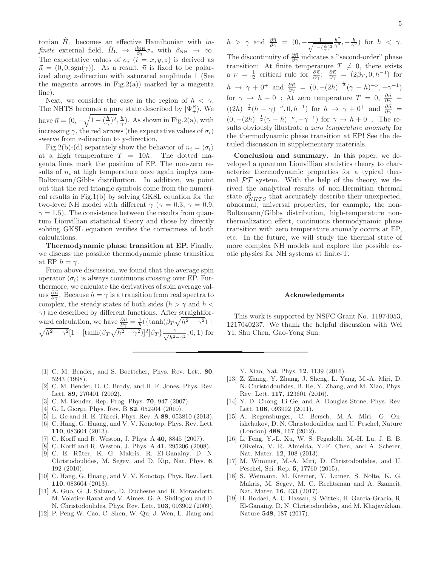tonian  $\hat{H}_{\text{L}}$  becomes an effective Hamiltonian with *in*finite external field,  $\hat{H}_{\text{L}} \rightarrow \frac{\beta_{\text{NH}}}{\beta_T} \sigma_z$  with  $\beta_{\text{NH}} \rightarrow \infty$ . The expectative values of  $\sigma_i$   $(i = x, y, z)$  is derived as  $\vec{n} = (0, 0, \text{sgn}(\gamma)).$  As a result,  $\vec{n}$  is fixed to be polarized along z-direction with saturated amplitude 1 (See the magenta arrows in Fig.2(a)) marked by a magenta line).

Next, we consider the case in the region of  $h < \gamma$ . The NHTS becomes a pure state described by  $|\Psi_{+}^{\text{R}}\rangle$ . We have  $\vec{n} = (0, -\sqrt{1 - (\frac{h}{\gamma})^2}, \frac{h}{\gamma})$ . As shown in Fig.2(a), with increasing  $\gamma$ , the red arrows (the expectative values of  $\sigma_i$ ) swerve from z-direction to y-direction.

Fig.2(b)-(d) separately show the behavior of  $n_i = \langle \sigma_i \rangle$ at a high temperature  $T = 10h$ . The dotted magenta lines mark the position of EP. The non-zero results of  $n_i$  at high temperature once again implys non-Boltzmann/Gibbs distribution. In addition, we point out that the red triangle symbols come from the numerical results in Fig.1(b) by solving GKSL equation for the two-level NH model with different  $\gamma$  ( $\gamma = 0.3$ ,  $\gamma = 0.9$ ,  $\gamma = 1.5$ ). The consistence between the results from quantum Liouvillian statistical theory and those by directly solving GKSL equation verifies the correctness of both calculations.

Thermodynamic phase transition at EP. Finally, we discuss the possible thermodynamic phase transition at EP  $h = \gamma$ .

From above discussion, we found that the average spin operator  $\langle \sigma_i \rangle$  is always continuous crossing over EP. Furthermore, we calculate the derivatives of spin average values  $\frac{\partial \vec{n}}{\partial \gamma}$ . Because  $h = \gamma$  is a transition from real spectra to complex, the steady states of both sides ( $h > \gamma$  and  $h <$  $\gamma$ ) are described by different functions. After straightforward calculation, we have  $\frac{\partial \vec{n}}{\partial \gamma} = \frac{1}{h} (\{\tanh(\beta_T \sqrt{h^2 - \gamma^2}) +$  $\sqrt{h^2-\gamma^2}[1-[\tanh(\beta_T\sqrt{h^2-\gamma^2})]^2]\beta_T\frac{\gamma}{\sqrt{h^2}}$  $\frac{\gamma}{h^2-\gamma^2}$ , 0, 1) for

- [1] C. M. Bender, and S. Boettcher, Phys. Rev. Lett. 80, 5243 (1998).
- [2] C. M. Bender, D. C. Brody, and H. F. Jones, Phys. Rev. Lett. 89, 270401 (2002).
- [3] C. M. Bender, Rep. Prog. Phys. 70, 947 (2007).
- [4] G. L Giorgi, Phys. Rev. B 82, 052404 (2010).
- [5] L. Ge and H. E. Türeci, Phys. Rev. A 88, 053810 (2013).
- [6] C. Hang, G. Huang, and V. V. Konotop, Phys. Rev. Lett. 110, 083604 (2013).
- C. Korff and R. Weston, J. Phys. A 40, 8845 (2007).
- [8] C. Korff and R. Weston, J. Phys. A 41, 295206 (2008).
- [9] C. E. Rüter, K. G. Makris, R. El-Ganainy, D. N. Christodoulides, M. Segev, and D. Kip, Nat. Phys. 6, 192 (2010).
- [10] C. Hang, G. Huang, and V. V. Konotop, Phys. Rev. Lett. 110, 083604 (2013).
- [11] A. Guo, G. J. Salamo, D. Duchesne and R. Morandotti, M. Volatier-Ravat and V. Aimez, G. A. Siviloglou and D. N. Christodoulides, Phys. Rev. Lett. 103, 093902 (2009).
- [12] P. Peng W. Cao, C. Shen, W. Qu, J. Wen, L. Jiang and

$$
h > \gamma \text{ and } \frac{\partial \vec{n}}{\partial \gamma} = (0, -\frac{1}{\sqrt{1 - (\frac{h}{\gamma})^2}} \frac{h^2}{\gamma^3}, -\frac{h}{\gamma^2}) \text{ for } h < \gamma.
$$

The discontinuity of  $\frac{\partial \vec{n}}{\partial \gamma}$  indicates a "second-order" phase transition: At finite temperature  $T \neq 0$ , there exists a  $\nu = \frac{1}{2}$  critical rule for  $\frac{\partial \vec{n}}{\partial \gamma}$ :  $\frac{\partial \vec{n}}{\partial \gamma} = (2\beta_T, 0, h^{-1})$  for  $h \to \gamma + 0^+$  and  $\frac{\partial \vec{n}}{\partial \gamma} = (0, -(2h)^{-\frac{1}{2}}(\gamma - h)^{-\nu}, -\gamma^{-1})$ for  $\gamma \to h + 0^+$ ; At zero temperature  $T = 0$ ,  $\frac{\partial \vec{n}}{\partial \gamma} =$  $((2h)^{-\frac{1}{2}}(h-\gamma)^{-\nu},0,h^{-1})$  for  $h \to \gamma + 0^+$  and  $\frac{\partial \vec{n}}{\partial \gamma}$  =  $(0, -(2h)^{-\frac{1}{2}}(\gamma - h)^{-\nu}, -\gamma^{-1})$  for  $\gamma \to h + 0^+$ . The results obviously illustrate a zero temperature anomaly for the thermodynamic phase transition at EP! See the detailed discussion in supplementary materials.

Conclusion and summary. In this paper, we developed a quantum Liouvillian statistics theory to characterize thermodynamic properties for a typical thermal  $\mathcal{PT}$  system. With the help of the theory, we derived the analytical results of non-Hermitian thermal state  $\rho_{NHTS}^{\rm S}$  that accurately describe their unexpected, abnormal, universal properties, for example, the non-Boltzmann/Gibbs distribution, high-temperature nonthermalization effect, continuous thermodynamic phase transition with zero temperature anomaly occurs at EP, etc. In the future, we will study the thermal state of more complex NH models and explore the possible exotic physics for NH systems at finite-T.

## Acknowledgments

This work is supported by NSFC Grant No. 11974053, 1217040237. We thank the helpful discussion with Wei Yi, Shu Chen, Gao-Yong Sun.

Y. Xiao, Nat. Phys. 12, 1139 (2016).

- [13] Z. Zhang, Y. Zhang, J. Sheng, L. Yang, M.-A. Miri, D. N. Christodoulides, B. He, Y. Zhang, and M. Xiao, Phys. Rev. Lett. 117, 123601 (2016).
- [14] Y. D. Chong, Li Ge, and A. Douglas Stone, Phys. Rev. Lett. **106**, 093902 (2011).
- [15] A. Regensburger, C. Bersch, M.-A. Miri, G. Onishchukov, D. N. Christodoulides, and U. Peschel, Nature (London) 488, 167 (2012).
- [16] L. Feng, Y.-L. Xu, W. S. Fegadolli, M.-H. Lu, J. E. B. Oliveira, V. R. Almeida, Y.-F. Chen, and A. Scherer, Nat. Mater. 12, 108 (2013).
- [17] M. Wimmer, M.-A. Miri, D. Christodoulides, and U. Peschel, Sci. Rep. 5, 17760 (2015).
- [18] S. Weimann, M. Kremer, Y. Lumer, S. Nolte, K. G. Makris, M. Segev, M. C. Rechtsman and A. Szameit, Nat. Mater. 16, 433 (2017).
- [19] H. Hodaei, A. U. Hassan, S. Wittek, H. Garcia-Gracia, R. El-Ganainy, D. N. Christodoulides, and M. Khajavikhan, Nature 548, 187 (2017).